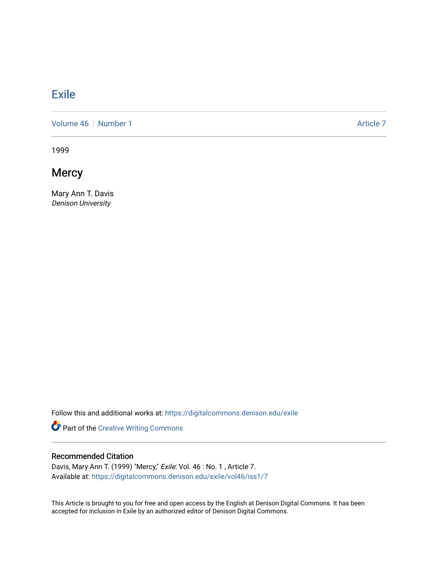## [Exile](https://digitalcommons.denison.edu/exile)

[Volume 46](https://digitalcommons.denison.edu/exile/vol46) [Number 1](https://digitalcommons.denison.edu/exile/vol46/iss1) Article 7

1999

**Mercy** 

Mary Ann T. Davis Denison University

Follow this and additional works at: [https://digitalcommons.denison.edu/exile](https://digitalcommons.denison.edu/exile?utm_source=digitalcommons.denison.edu%2Fexile%2Fvol46%2Fiss1%2F7&utm_medium=PDF&utm_campaign=PDFCoverPages) 

Part of the [Creative Writing Commons](http://network.bepress.com/hgg/discipline/574?utm_source=digitalcommons.denison.edu%2Fexile%2Fvol46%2Fiss1%2F7&utm_medium=PDF&utm_campaign=PDFCoverPages) 

## Recommended Citation

Davis, Mary Ann T. (1999) "Mercy," Exile: Vol. 46 : No. 1 , Article 7. Available at: [https://digitalcommons.denison.edu/exile/vol46/iss1/7](https://digitalcommons.denison.edu/exile/vol46/iss1/7?utm_source=digitalcommons.denison.edu%2Fexile%2Fvol46%2Fiss1%2F7&utm_medium=PDF&utm_campaign=PDFCoverPages) 

This Article is brought to you for free and open access by the English at Denison Digital Commons. It has been accepted for inclusion in Exile by an authorized editor of Denison Digital Commons.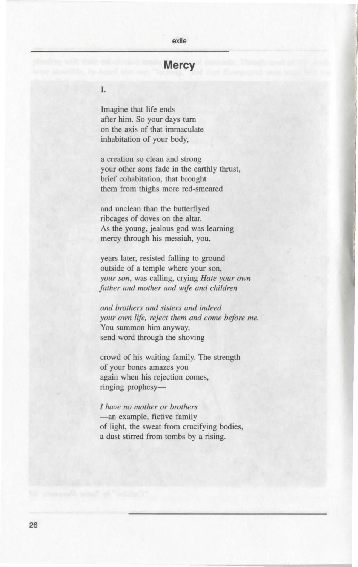## exile

## **Mercy**

I.

Imagine that life ends after him. So your days turn on the axis of that immaculate inhabitation of your body,

a creation so clean and strong your other sons fade in the earthly thrust, brief cohabitation, that brought them from thighs more red-smeared

and unclean than the butterflyed ribcages of doves on the altar. As the young, jealous god was learning mercy through his messiah, you,

years later, resisted falling to ground outside of a temple where your son, *your son,* was calling, crying *Hate your own father and mother and wife and children* 

*and brothers and sisters and indeed your own Life, reject them and come before me.*  You summon him anyway, send word through the shoving

crowd of his waiting family. The strength of your bones amazes you again when his rejection comes, ringing prophesy-

*I have no mother or brothers*  -an example, fictive family of light, the sweat from crucifying bodies, a dust stirred from tombs by a rising.